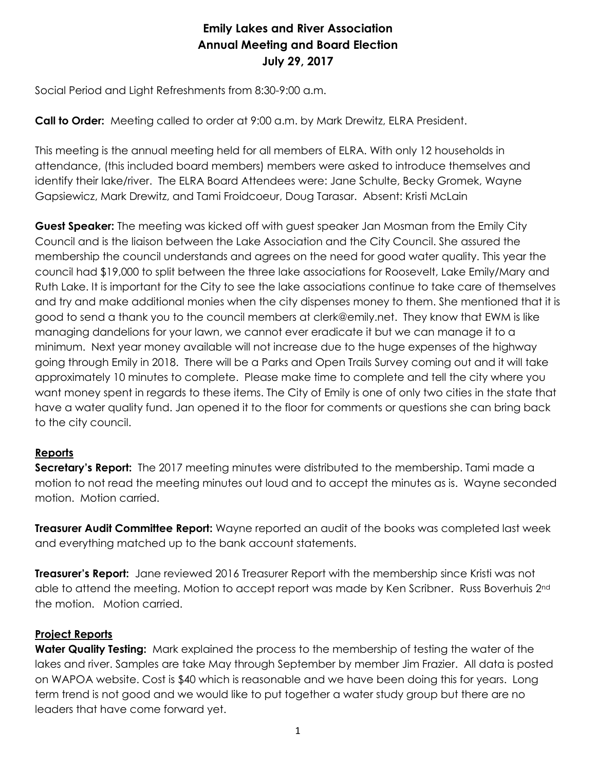# **Emily Lakes and River Association Annual Meeting and Board Election July 29, 2017**

Social Period and Light Refreshments from 8:30-9:00 a.m.

**Call to Order:** Meeting called to order at 9:00 a.m. by Mark Drewitz, ELRA President.

This meeting is the annual meeting held for all members of ELRA. With only 12 households in attendance, (this included board members) members were asked to introduce themselves and identify their lake/river. The ELRA Board Attendees were: Jane Schulte, Becky Gromek, Wayne Gapsiewicz, Mark Drewitz, and Tami Froidcoeur, Doug Tarasar. Absent: Kristi McLain

**Guest Speaker:** The meeting was kicked off with guest speaker Jan Mosman from the Emily City Council and is the liaison between the Lake Association and the City Council. She assured the membership the council understands and agrees on the need for good water quality. This year the council had \$19,000 to split between the three lake associations for Roosevelt, Lake Emily/Mary and Ruth Lake. It is important for the City to see the lake associations continue to take care of themselves and try and make additional monies when the city dispenses money to them. She mentioned that it is good to send a thank you to the council members at clerk@emily.net. They know that EWM is like managing dandelions for your lawn, we cannot ever eradicate it but we can manage it to a minimum. Next year money available will not increase due to the huge expenses of the highway going through Emily in 2018. There will be a Parks and Open Trails Survey coming out and it will take approximately 10 minutes to complete. Please make time to complete and tell the city where you want money spent in regards to these items. The City of Emily is one of only two cities in the state that have a water quality fund. Jan opened it to the floor for comments or questions she can bring back to the city council.

## **Reports**

**Secretary's Report:** The 2017 meeting minutes were distributed to the membership. Tami made a motion to not read the meeting minutes out loud and to accept the minutes as is. Wayne seconded motion. Motion carried.

**Treasurer Audit Committee Report:** Wayne reported an audit of the books was completed last week and everything matched up to the bank account statements.

**Treasurer's Report:** Jane reviewed 2016 Treasurer Report with the membership since Kristi was not able to attend the meeting. Motion to accept report was made by Ken Scribner. Russ Boverhuis 2<sup>nd</sup> the motion. Motion carried.

## **Project Reports**

**Water Quality Testing:** Mark explained the process to the membership of testing the water of the lakes and river. Samples are take May through September by member Jim Frazier. All data is posted on WAPOA website. Cost is \$40 which is reasonable and we have been doing this for years. Long term trend is not good and we would like to put together a water study group but there are no leaders that have come forward yet.